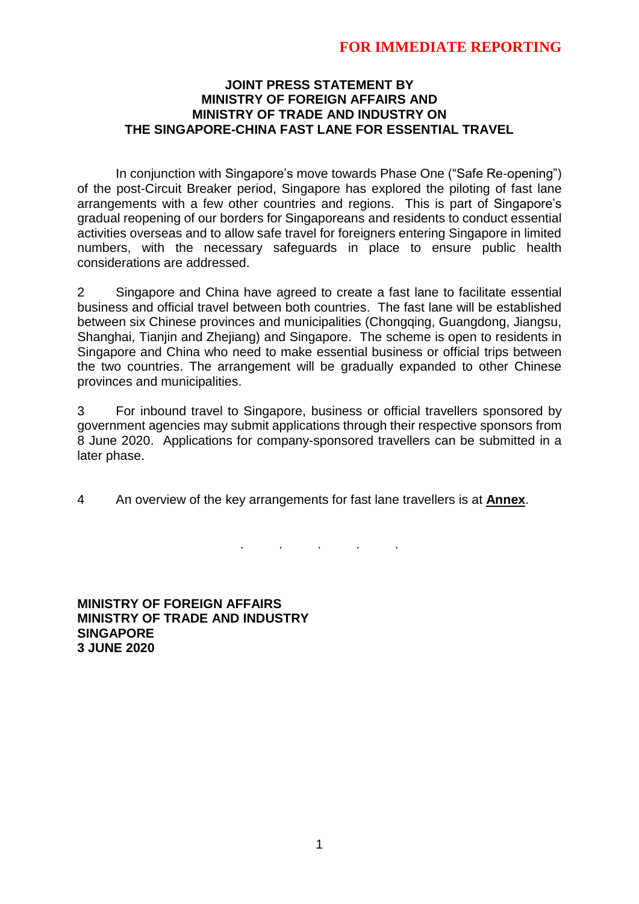# **FOR IMMEDIATE REPORTING**

#### **JOINT PRESS STATEMENT BY MINISTRY OF FOREIGN AFFAIRS AND MINISTRY OF TRADE AND INDUSTRY ON THE SINGAPORE-CHINA FAST LANE FOR ESSENTIAL TRAVEL**

In conjunction with Singapore's move towards Phase One ("Safe Re-opening") of the post-Circuit Breaker period, Singapore has explored the piloting of fast lane arrangements with a few other countries and regions. This is part of Singapore's gradual reopening of our borders for Singaporeans and residents to conduct essential activities overseas and to allow safe travel for foreigners entering Singapore in limited numbers, with the necessary safeguards in place to ensure public health considerations are addressed.

2 Singapore and China have agreed to create a fast lane to facilitate essential business and official travel between both countries. The fast lane will be established between six Chinese provinces and municipalities (Chongqing, Guangdong, Jiangsu, Shanghai, Tianjin and Zhejiang) and Singapore. The scheme is open to residents in Singapore and China who need to make essential business or official trips between the two countries. The arrangement will be gradually expanded to other Chinese provinces and municipalities.

3 For inbound travel to Singapore, business or official travellers sponsored by government agencies may submit applications through their respective sponsors from 8 June 2020. Applications for company-sponsored travellers can be submitted in a later phase.

4 An overview of the key arrangements for fast lane travellers is at **Annex**.

. . . . .

**MINISTRY OF FOREIGN AFFAIRS MINISTRY OF TRADE AND INDUSTRY SINGAPORE 3 JUNE 2020**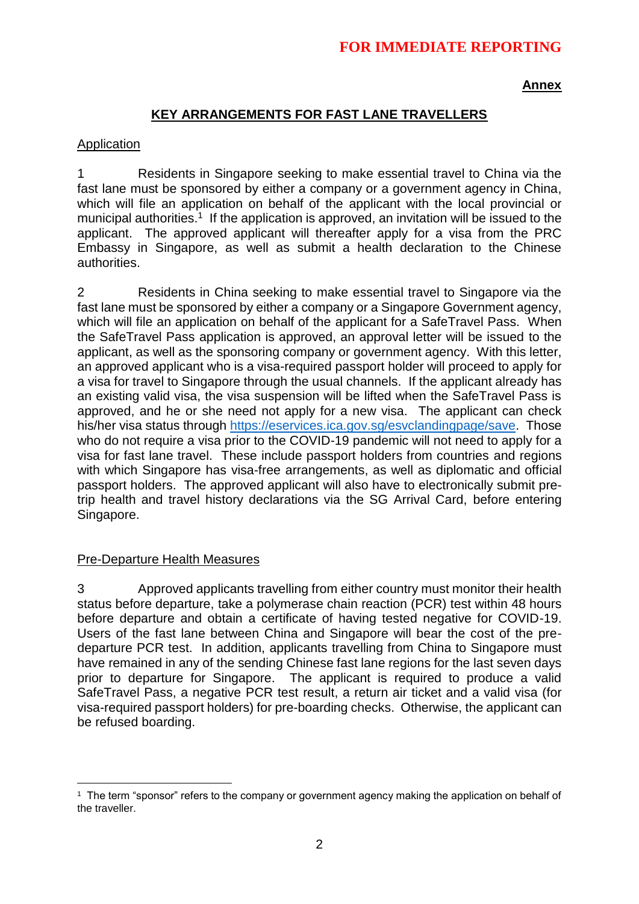# **FOR IMMEDIATE REPORTING**

**Annex**

### **KEY ARRANGEMENTS FOR FAST LANE TRAVELLERS**

#### Application

1 Residents in Singapore seeking to make essential travel to China via the fast lane must be sponsored by either a company or a government agency in China, which will file an application on behalf of the applicant with the local provincial or municipal authorities.<sup>1</sup> If the application is approved, an invitation will be issued to the applicant. The approved applicant will thereafter apply for a visa from the PRC Embassy in Singapore, as well as submit a health declaration to the Chinese authorities.

2 Residents in China seeking to make essential travel to Singapore via the fast lane must be sponsored by either a company or a Singapore Government agency, which will file an application on behalf of the applicant for a SafeTravel Pass. When the SafeTravel Pass application is approved, an approval letter will be issued to the applicant, as well as the sponsoring company or government agency. With this letter, an approved applicant who is a visa-required passport holder will proceed to apply for a visa for travel to Singapore through the usual channels. If the applicant already has an existing valid visa, the visa suspension will be lifted when the SafeTravel Pass is approved, and he or she need not apply for a new visa. The applicant can check his/her visa status through [https://eservices.ica.gov.sg/esvclandingpage/save.](https://eservices.ica.gov.sg/esvclandingpage/save) Those who do not require a visa prior to the COVID-19 pandemic will not need to apply for a visa for fast lane travel. These include passport holders from countries and regions with which Singapore has visa-free arrangements, as well as diplomatic and official passport holders. The approved applicant will also have to electronically submit pretrip health and travel history declarations via the SG Arrival Card, before entering Singapore.

#### Pre-Departure Health Measures

3 Approved applicants travelling from either country must monitor their health status before departure, take a polymerase chain reaction (PCR) test within 48 hours before departure and obtain a certificate of having tested negative for COVID-19. Users of the fast lane between China and Singapore will bear the cost of the predeparture PCR test. In addition, applicants travelling from China to Singapore must have remained in any of the sending Chinese fast lane regions for the last seven days prior to departure for Singapore. The applicant is required to produce a valid SafeTravel Pass, a negative PCR test result, a return air ticket and a valid visa (for visa-required passport holders) for pre-boarding checks. Otherwise, the applicant can be refused boarding.

 $\overline{a}$ <sup>1</sup> The term "sponsor" refers to the company or government agency making the application on behalf of the traveller.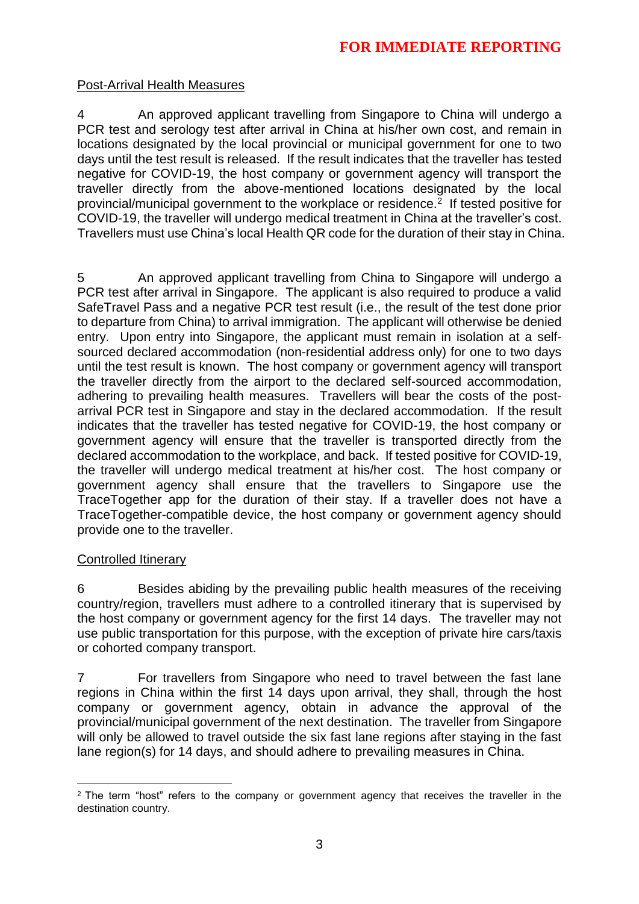## Post-Arrival Health Measures

4 An approved applicant travelling from Singapore to China will undergo a PCR test and serology test after arrival in China at his/her own cost, and remain in locations designated by the local provincial or municipal government for one to two days until the test result is released. If the result indicates that the traveller has tested negative for COVID-19, the host company or government agency will transport the traveller directly from the above-mentioned locations designated by the local provincial/municipal government to the workplace or residence.<sup>2</sup> If tested positive for COVID-19, the traveller will undergo medical treatment in China at the traveller's cost. Travellers must use China's local Health QR code for the duration of their stay in China.

5 An approved applicant travelling from China to Singapore will undergo a PCR test after arrival in Singapore. The applicant is also required to produce a valid SafeTravel Pass and a negative PCR test result (i.e., the result of the test done prior to departure from China) to arrival immigration. The applicant will otherwise be denied entry. Upon entry into Singapore, the applicant must remain in isolation at a selfsourced declared accommodation (non-residential address only) for one to two days until the test result is known. The host company or government agency will transport the traveller directly from the airport to the declared self-sourced accommodation, adhering to prevailing health measures. Travellers will bear the costs of the postarrival PCR test in Singapore and stay in the declared accommodation. If the result indicates that the traveller has tested negative for COVID-19, the host company or government agency will ensure that the traveller is transported directly from the declared accommodation to the workplace, and back. If tested positive for COVID-19, the traveller will undergo medical treatment at his/her cost. The host company or government agency shall ensure that the travellers to Singapore use the TraceTogether app for the duration of their stay. If a traveller does not have a TraceTogether-compatible device, the host company or government agency should provide one to the traveller.

### Controlled Itinerary

6 Besides abiding by the prevailing public health measures of the receiving country/region, travellers must adhere to a controlled itinerary that is supervised by the host company or government agency for the first 14 days. The traveller may not use public transportation for this purpose, with the exception of private hire cars/taxis or cohorted company transport.

7 For travellers from Singapore who need to travel between the fast lane regions in China within the first 14 days upon arrival, they shall, through the host company or government agency, obtain in advance the approval of the provincial/municipal government of the next destination. The traveller from Singapore will only be allowed to travel outside the six fast lane regions after staying in the fast lane region(s) for 14 days, and should adhere to prevailing measures in China.

 $\overline{a}$ <sup>2</sup> The term "host" refers to the company or government agency that receives the traveller in the destination country.